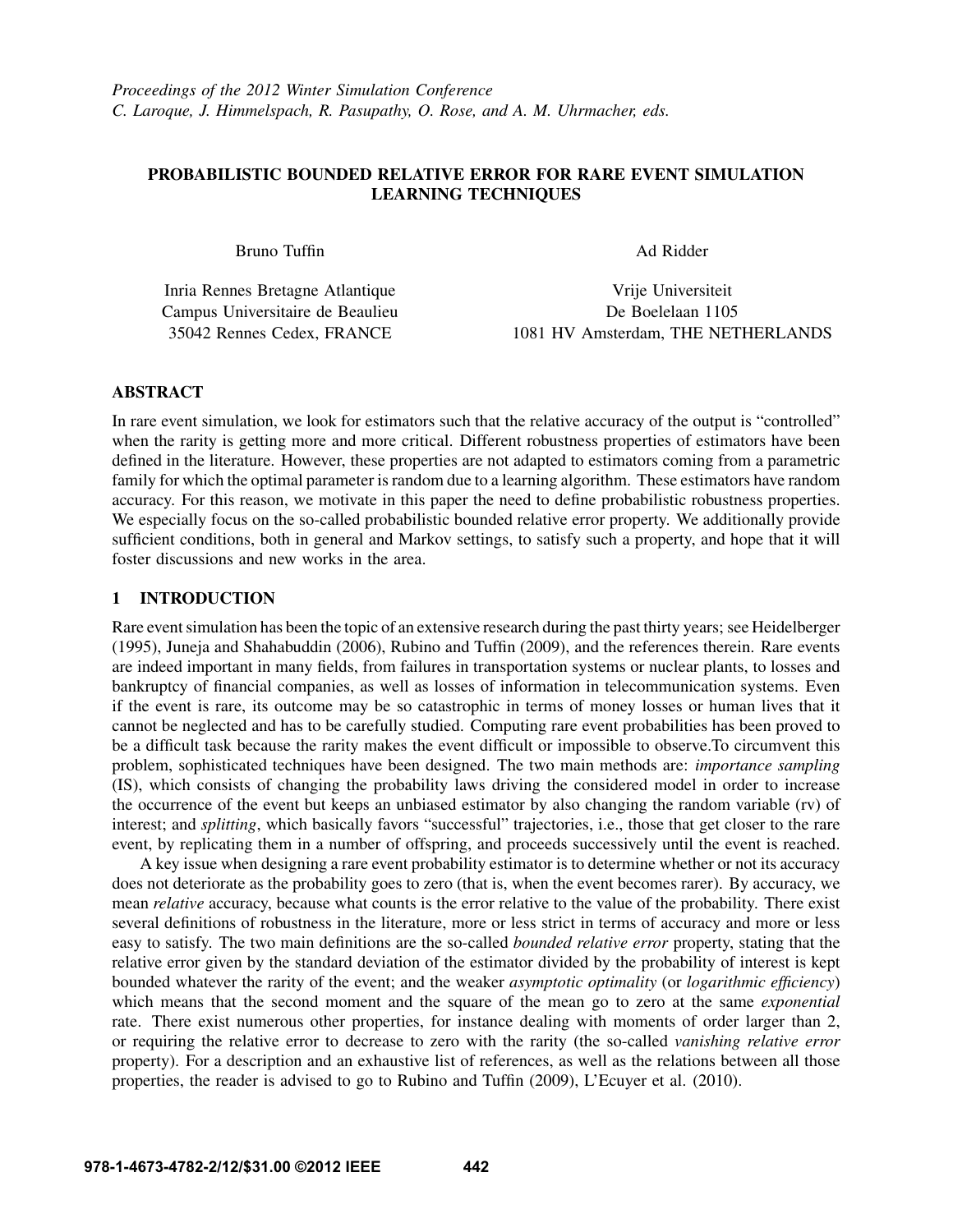# PROBABILISTIC BOUNDED RELATIVE ERROR FOR RARE EVENT SIMULATION LEARNING TECHNIQUES

Bruno Tuffin

Inria Rennes Bretagne Atlantique Campus Universitaire de Beaulieu 35042 Rennes Cedex, FRANCE

Ad Ridder

Vrije Universiteit De Boelelaan 1105 1081 HV Amsterdam, THE NETHERLANDS

# ABSTRACT

In rare event simulation, we look for estimators such that the relative accuracy of the output is "controlled" when the rarity is getting more and more critical. Different robustness properties of estimators have been defined in the literature. However, these properties are not adapted to estimators coming from a parametric family for which the optimal parameter is random due to a learning algorithm. These estimators have random accuracy. For this reason, we motivate in this paper the need to define probabilistic robustness properties. We especially focus on the so-called probabilistic bounded relative error property. We additionally provide sufficient conditions, both in general and Markov settings, to satisfy such a property, and hope that it will foster discussions and new works in the area.

# 1 INTRODUCTION

Rare event simulation has been the topic of an extensive research during the past thirty years; see Heidelberger (1995), Juneja and Shahabuddin (2006), Rubino and Tuffin (2009), and the references therein. Rare events are indeed important in many fields, from failures in transportation systems or nuclear plants, to losses and bankruptcy of financial companies, as well as losses of information in telecommunication systems. Even if the event is rare, its outcome may be so catastrophic in terms of money losses or human lives that it cannot be neglected and has to be carefully studied. Computing rare event probabilities has been proved to be a difficult task because the rarity makes the event difficult or impossible to observe.To circumvent this problem, sophisticated techniques have been designed. The two main methods are: *importance sampling* (IS), which consists of changing the probability laws driving the considered model in order to increase the occurrence of the event but keeps an unbiased estimator by also changing the random variable (rv) of interest; and *splitting*, which basically favors "successful" trajectories, i.e., those that get closer to the rare event, by replicating them in a number of offspring, and proceeds successively until the event is reached.

A key issue when designing a rare event probability estimator is to determine whether or not its accuracy does not deteriorate as the probability goes to zero (that is, when the event becomes rarer). By accuracy, we mean *relative* accuracy, because what counts is the error relative to the value of the probability. There exist several definitions of robustness in the literature, more or less strict in terms of accuracy and more or less easy to satisfy. The two main definitions are the so-called *bounded relative error* property, stating that the relative error given by the standard deviation of the estimator divided by the probability of interest is kept bounded whatever the rarity of the event; and the weaker *asymptotic optimality* (or *logarithmic efficiency*) which means that the second moment and the square of the mean go to zero at the same *exponential* rate. There exist numerous other properties, for instance dealing with moments of order larger than 2, or requiring the relative error to decrease to zero with the rarity (the so-called *vanishing relative error* property). For a description and an exhaustive list of references, as well as the relations between all those properties, the reader is advised to go to Rubino and Tuffin (2009), L'Ecuyer et al. (2010).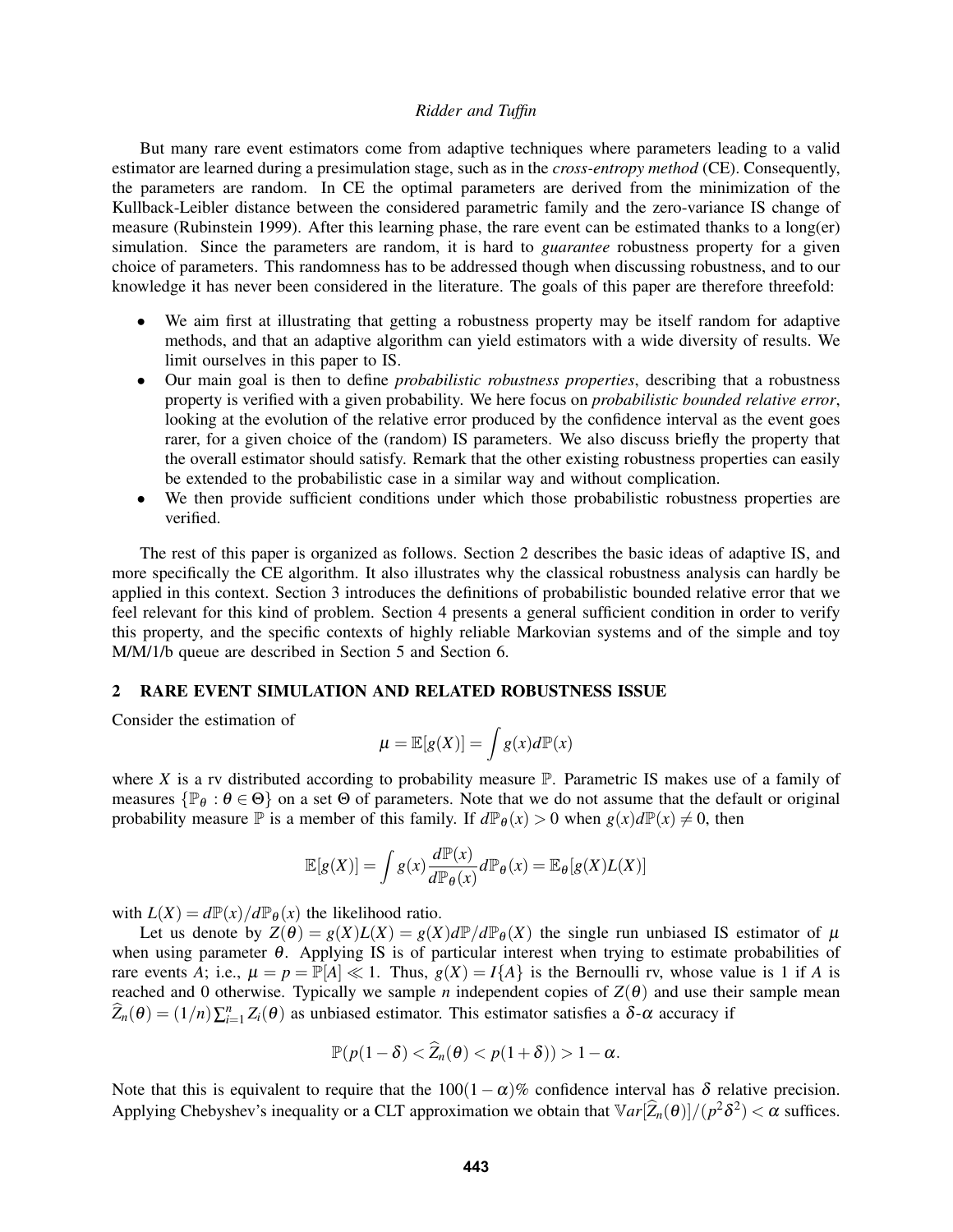But many rare event estimators come from adaptive techniques where parameters leading to a valid estimator are learned during a presimulation stage, such as in the *cross-entropy method* (CE). Consequently, the parameters are random. In CE the optimal parameters are derived from the minimization of the Kullback-Leibler distance between the considered parametric family and the zero-variance IS change of measure (Rubinstein 1999). After this learning phase, the rare event can be estimated thanks to a long(er) simulation. Since the parameters are random, it is hard to *guarantee* robustness property for a given choice of parameters. This randomness has to be addressed though when discussing robustness, and to our knowledge it has never been considered in the literature. The goals of this paper are therefore threefold:

- We aim first at illustrating that getting a robustness property may be itself random for adaptive methods, and that an adaptive algorithm can yield estimators with a wide diversity of results. We limit ourselves in this paper to IS.
- Our main goal is then to define *probabilistic robustness properties*, describing that a robustness property is verified with a given probability. We here focus on *probabilistic bounded relative error*, looking at the evolution of the relative error produced by the confidence interval as the event goes rarer, for a given choice of the (random) IS parameters. We also discuss briefly the property that the overall estimator should satisfy. Remark that the other existing robustness properties can easily be extended to the probabilistic case in a similar way and without complication.
- We then provide sufficient conditions under which those probabilistic robustness properties are verified.

The rest of this paper is organized as follows. Section 2 describes the basic ideas of adaptive IS, and more specifically the CE algorithm. It also illustrates why the classical robustness analysis can hardly be applied in this context. Section 3 introduces the definitions of probabilistic bounded relative error that we feel relevant for this kind of problem. Section 4 presents a general sufficient condition in order to verify this property, and the specific contexts of highly reliable Markovian systems and of the simple and toy M/M/1/b queue are described in Section 5 and Section 6.

### 2 RARE EVENT SIMULATION AND RELATED ROBUSTNESS ISSUE

Consider the estimation of

$$
\mu = \mathbb{E}[g(X)] = \int g(x)d\mathbb{P}(x)
$$

where *X* is a rv distributed according to probability measure  $\mathbb{P}$ . Parametric IS makes use of a family of measures  $\{\mathbb{P}_{\theta} : \theta \in \Theta\}$  on a set  $\Theta$  of parameters. Note that we do not assume that the default or original probability measure  $\mathbb P$  is a member of this family. If  $d\mathbb P_\theta(x) > 0$  when  $g(x)d\mathbb P(x) \neq 0$ , then

$$
\mathbb{E}[g(X)] = \int g(x) \frac{d\mathbb{P}(x)}{d\mathbb{P}_{\theta}(x)} d\mathbb{P}_{\theta}(x) = \mathbb{E}_{\theta}[g(X)L(X)]
$$

with  $L(X) = dP(x)/dP_{\theta}(x)$  the likelihood ratio.

Let us denote by  $Z(\theta) = g(X)L(X) = g(X)dP/dP_{\theta}(X)$  the single run unbiased IS estimator of  $\mu$ when using parameter  $\theta$ . Applying IS is of particular interest when trying to estimate probabilities of rare events *A*; i.e.,  $\mu = p = \mathbb{P}[A] \ll 1$ . Thus,  $g(X) = I\{A\}$  is the Bernoulli rv, whose value is 1 if *A* is reached and 0 otherwise. Typically we sample *n* independent copies of  $Z(\theta)$  and use their sample mean  $\widehat{Z}_n(\theta) = (1/n) \sum_{i=1}^n Z_i(\theta)$  as unbiased estimator. This estimator satisfies a  $\delta$ - $\alpha$  accuracy if

$$
\mathbb{P}(p(1-\delta)<\widehat{Z}_n(\theta)1-\alpha.
$$

Note that this is equivalent to require that the 100(1 –  $\alpha$ )% confidence interval has  $\delta$  relative precision. Applying Chebyshev's inequality or a CLT approximation we obtain that  $\sqrt{ar}[\hat{Z}_n(\theta)]/(p^2\delta^2) < \alpha$  suffices.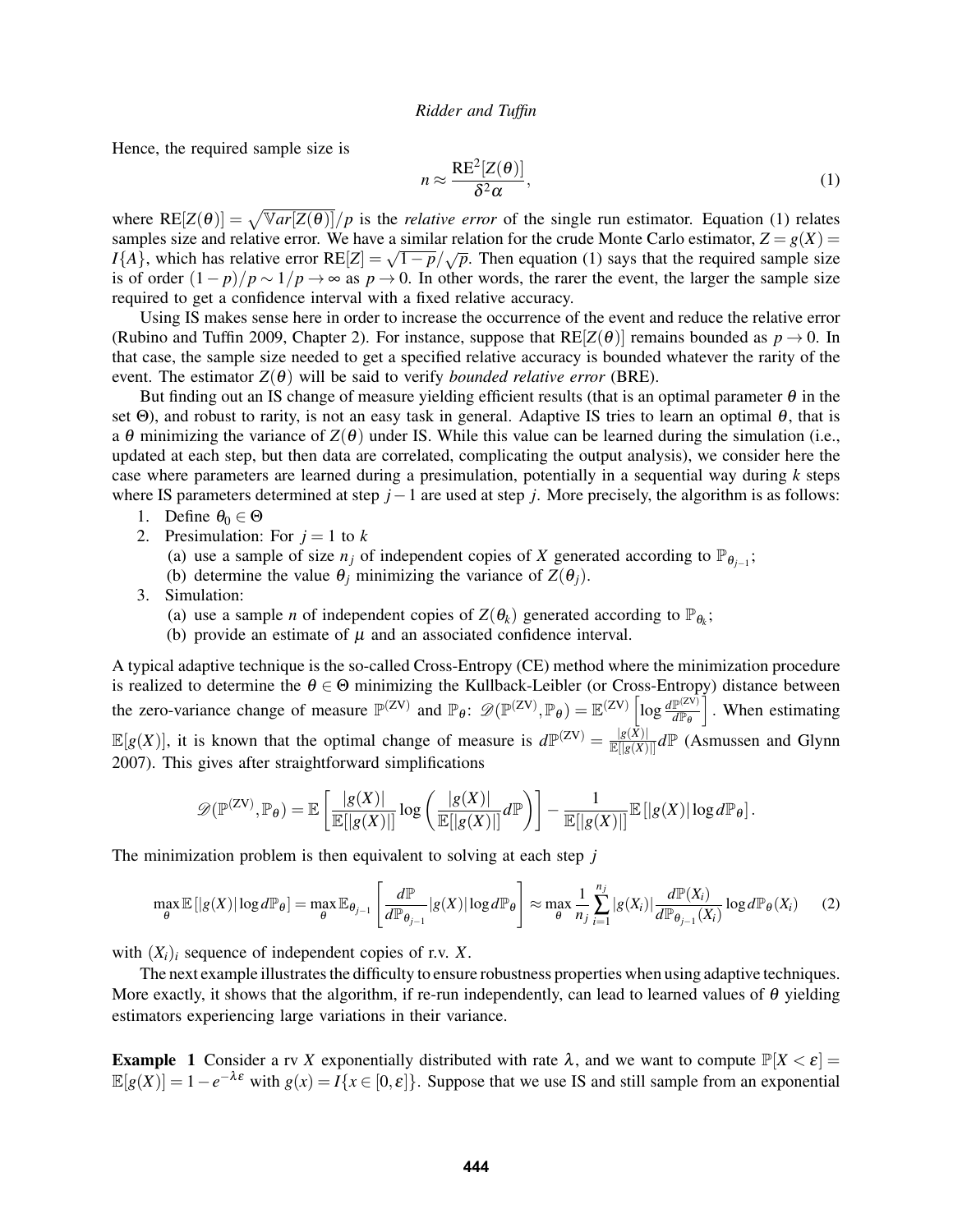Hence, the required sample size is

$$
n \approx \frac{\text{RE}^2[Z(\theta)]}{\delta^2 \alpha},\tag{1}
$$

where  $RE[Z(\theta)] = \sqrt{Var[Z(\theta)]}/p$  is the *relative error* of the single run estimator. Equation (1) relates samples size and relative error. We have a similar relation for the crude Monte Carlo estimator,  $Z = g(X)$ *I*{*A*}, which has relative error. We have a similar relation for the crude within carlo estimator,  $Z = g(A) = I\{A\}$ , which has relative error RE[*Z*] =  $\sqrt{1-p}/\sqrt{p}$ . Then equation (1) says that the required sample size is of order  $(1-p)/p \sim 1/p \rightarrow \infty$  as  $p \rightarrow 0$ . In other words, the rarer the event, the larger the sample size required to get a confidence interval with a fixed relative accuracy.

Using IS makes sense here in order to increase the occurrence of the event and reduce the relative error (Rubino and Tuffin 2009, Chapter 2). For instance, suppose that  $RE[Z(\theta)]$  remains bounded as  $p \rightarrow 0$ . In that case, the sample size needed to get a specified relative accuracy is bounded whatever the rarity of the event. The estimator  $Z(\theta)$  will be said to verify *bounded relative error* (BRE).

But finding out an IS change of measure yielding efficient results (that is an optimal parameter  $\theta$  in the set  $\Theta$ ), and robust to rarity, is not an easy task in general. Adaptive IS tries to learn an optimal  $\theta$ , that is a  $\theta$  minimizing the variance of  $Z(\theta)$  under IS. While this value can be learned during the simulation (i.e., updated at each step, but then data are correlated, complicating the output analysis), we consider here the case where parameters are learned during a presimulation, potentially in a sequential way during *k* steps where IS parameters determined at step *j*−1 are used at step *j*. More precisely, the algorithm is as follows:

- 1. Define  $\theta_0 \in \Theta$
- 2. Presimulation: For  $j = 1$  to  $k$

(a) use a sample of size  $n_j$  of independent copies of *X* generated according to  $\mathbb{P}_{\theta_{j-1}}$ ;

- (b) determine the value  $\theta_i$  minimizing the variance of  $Z(\theta_i)$ .
- 3. Simulation:
	- (a) use a sample *n* of independent copies of  $Z(\theta_k)$  generated according to  $\mathbb{P}_{\theta_k}$ ;
	- (b) provide an estimate of  $\mu$  and an associated confidence interval.

A typical adaptive technique is the so-called Cross-Entropy (CE) method where the minimization procedure is realized to determine the  $\theta \in \Theta$  minimizing the Kullback-Leibler (or Cross-Entropy) distance between the zero-variance change of measure  $\mathbb{P}^{(ZV)}$  and  $\mathbb{P}_{\theta}$ :  $\mathscr{D}(\mathbb{P}^{(ZV)}, \mathbb{P}_{\theta}) = \mathbb{E}^{(ZV)} \left[ \log \frac{d\mathbb{P}^{(ZV)}}{d\mathbb{P}_{\theta}} \right]$ i . When estimating  $\mathbb{E}[g(X)]$ , it is known that the optimal change of measure is  $d\mathbb{P}^{(ZV)} = \frac{|g(X)|}{\mathbb{E}[|g(X)|]}d\mathbb{P}$  (Asmussen and Glynn 2007). This gives after straightforward simplifications

$$
\mathscr{D}(\mathbb{P}^{(\text{ZV})}, \mathbb{P}_{\theta}) = \mathbb{E}\left[\frac{|g(X)|}{\mathbb{E}[|g(X)|]}\log\left(\frac{|g(X)|}{\mathbb{E}[|g(X)|]}d\mathbb{P}\right)\right] - \frac{1}{\mathbb{E}[|g(X)|]} \mathbb{E}\left[|g(X)|\log d\mathbb{P}_{\theta}\right].
$$

The minimization problem is then equivalent to solving at each step *j*

$$
\max_{\theta} \mathbb{E}\left[|g(X)|\log d\mathbb{P}_{\theta}\right] = \max_{\theta} \mathbb{E}_{\theta_{j-1}}\left[\frac{d\mathbb{P}}{d\mathbb{P}_{\theta_{j-1}}}|g(X)|\log d\mathbb{P}_{\theta}\right] \approx \max_{\theta} \frac{1}{n_j} \sum_{i=1}^{n_j} |g(X_i)| \frac{d\mathbb{P}(X_i)}{d\mathbb{P}_{\theta_{j-1}}(X_i)} \log d\mathbb{P}_{\theta}(X_i) \tag{2}
$$

with  $(X_i)_i$  sequence of independent copies of r.v.  $X$ .

The next example illustrates the difficulty to ensure robustness properties when using adaptive techniques. More exactly, it shows that the algorithm, if re-run independently, can lead to learned values of  $\theta$  yielding estimators experiencing large variations in their variance.

**Example 1** Consider a rv *X* exponentially distributed with rate  $\lambda$ , and we want to compute  $\mathbb{P}[X \leq \varepsilon]$  =  $\mathbb{E}[g(X)] = 1 - e^{-\lambda \varepsilon}$  with  $g(x) = I\{x \in [0, \varepsilon]\}.$  Suppose that we use IS and still sample from an exponential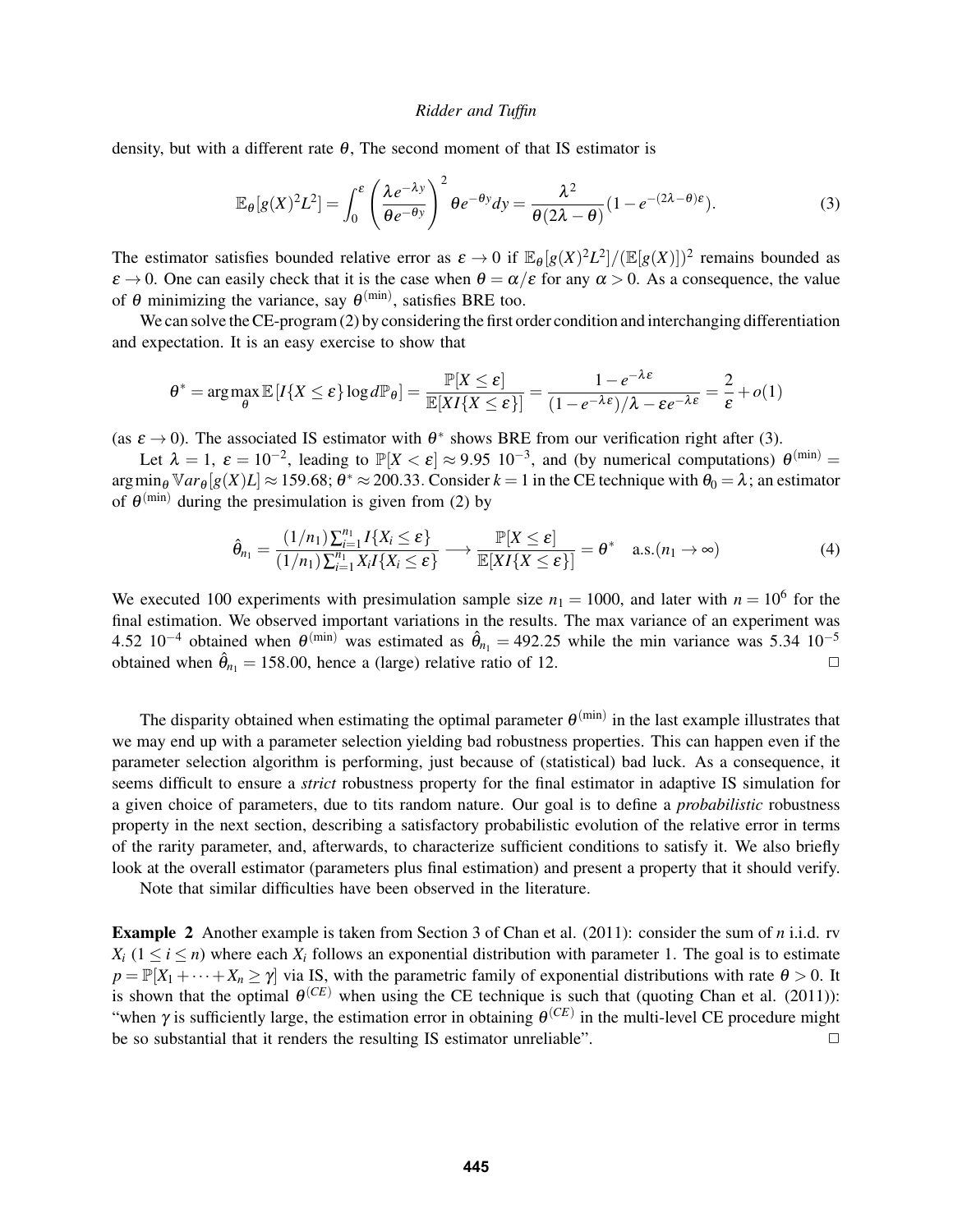density, but with a different rate  $\theta$ , The second moment of that IS estimator is

$$
\mathbb{E}_{\theta}[g(X)^{2}L^{2}] = \int_{0}^{\varepsilon} \left(\frac{\lambda e^{-\lambda y}}{\theta e^{-\theta y}}\right)^{2} \theta e^{-\theta y} dy = \frac{\lambda^{2}}{\theta(2\lambda - \theta)} (1 - e^{-(2\lambda - \theta)\varepsilon}).
$$
\n(3)

The estimator satisfies bounded relative error as  $\varepsilon \to 0$  if  $\mathbb{E}_{\theta}[g(X)^2 L^2]/(\mathbb{E}[g(X)])^2$  remains bounded as  $\varepsilon \to 0$ . One can easily check that it is the case when  $\theta = \alpha/\varepsilon$  for any  $\alpha > 0$ . As a consequence, the value of  $\theta$  minimizing the variance, say  $\theta^{(min)}$ , satisfies BRE too.

We can solve the CE-program (2) by considering the first order condition and interchanging differentiation and expectation. It is an easy exercise to show that

$$
\theta^* = \arg \max_{\theta} \mathbb{E}\left[I\{X \leq \varepsilon\} \log d\mathbb{P}_{\theta}\right] = \frac{\mathbb{P}[X \leq \varepsilon]}{\mathbb{E}[XI\{X \leq \varepsilon\}]} = \frac{1 - e^{-\lambda \varepsilon}}{(1 - e^{-\lambda \varepsilon})/\lambda - \varepsilon e^{-\lambda \varepsilon}} = \frac{2}{\varepsilon} + o(1)
$$

(as  $\varepsilon \to 0$ ). The associated IS estimator with  $\theta^*$  shows BRE from our verification right after (3).

Let  $\lambda = 1$ ,  $\varepsilon = 10^{-2}$ , leading to  $\mathbb{P}[X < \varepsilon] \approx 9.95 \cdot 10^{-3}$ , and (by numerical computations)  $\theta^{(\min)} =$  $\arg\min_{\theta} \mathbb{V}ar_{\theta}[g(X)L] \approx 159.68$ ;  $\theta^* \approx 200.33$ . Consider  $k = 1$  in the CE technique with  $\theta_0 = \lambda$ ; an estimator of  $\theta^{(min)}$  during the presimulation is given from (2) by

$$
\hat{\theta}_{n_1} = \frac{(1/n_1)\sum_{i=1}^{n_1} I\{X_i \leq \varepsilon\}}{(1/n_1)\sum_{i=1}^{n_1} X_i I\{X_i \leq \varepsilon\}} \longrightarrow \frac{\mathbb{P}[X \leq \varepsilon]}{\mathbb{E}[XI\{X \leq \varepsilon\}]} = \theta^* \quad \text{a.s.}(n_1 \to \infty)
$$
\n(4)

We executed 100 experiments with presimulation sample size  $n_1 = 1000$ , and later with  $n = 10^6$  for the final estimation. We observed important variations in the results. The max variance of an experiment was 4.52 10<sup>-4</sup> obtained when  $\theta^{(min)}$  was estimated as  $\hat{\theta}_{n_1} = 492.25$  while the min variance was 5.34 10<sup>-5</sup> obtained when  $\hat{\theta}_{n_1} = 158.00$ , hence a (large) relative ratio of 12.

The disparity obtained when estimating the optimal parameter  $\theta^{(min)}$  in the last example illustrates that we may end up with a parameter selection yielding bad robustness properties. This can happen even if the parameter selection algorithm is performing, just because of (statistical) bad luck. As a consequence, it seems difficult to ensure a *strict* robustness property for the final estimator in adaptive IS simulation for a given choice of parameters, due to tits random nature. Our goal is to define a *probabilistic* robustness property in the next section, describing a satisfactory probabilistic evolution of the relative error in terms of the rarity parameter, and, afterwards, to characterize sufficient conditions to satisfy it. We also briefly look at the overall estimator (parameters plus final estimation) and present a property that it should verify.

Note that similar difficulties have been observed in the literature.

Example 2 Another example is taken from Section 3 of Chan et al. (2011): consider the sum of *n* i.i.d. rv  $X_i$  ( $1 \le i \le n$ ) where each  $X_i$  follows an exponential distribution with parameter 1. The goal is to estimate  $p = \mathbb{P}[X_1 + \cdots + X_n \ge \gamma]$  via IS, with the parametric family of exponential distributions with rate  $\theta > 0$ . It is shown that the optimal  $\theta^{(CE)}$  when using the CE technique is such that (quoting Chan et al. (2011)): "when  $\gamma$  is sufficiently large, the estimation error in obtaining  $\theta^{(CE)}$  in the multi-level CE procedure might be so substantial that it renders the resulting IS estimator unreliable".  $\Box$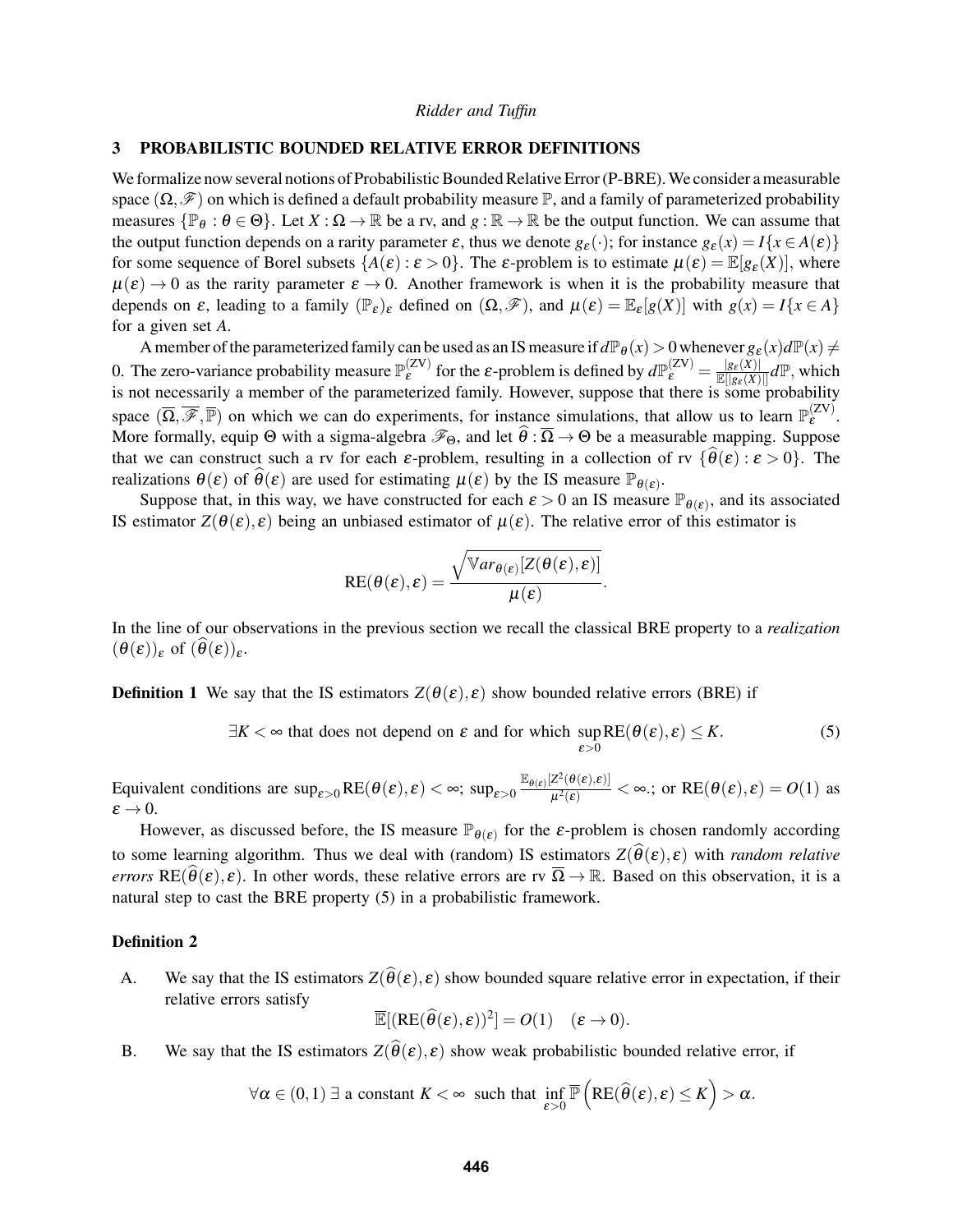#### 3 PROBABILISTIC BOUNDED RELATIVE ERROR DEFINITIONS

We formalize now several notions of Probabilistic Bounded Relative Error (P-BRE). We consider a measurable space ( $\Omega$ ,  $\mathscr{F}$ ) on which is defined a default probability measure P, and a family of parameterized probability measures  $\{\mathbb{P}_{\theta} : \theta \in \Theta\}$ . Let  $X : \Omega \to \mathbb{R}$  be a rv, and  $g : \mathbb{R} \to \mathbb{R}$  be the output function. We can assume that the output function depends on a rarity parameter  $\varepsilon$ , thus we denote  $g_{\varepsilon}(\cdot)$ ; for instance  $g_{\varepsilon}(x) = I\{x \in A(\varepsilon)\}\$ for some sequence of Borel subsets  $\{A(\varepsilon): \varepsilon > 0\}$ . The  $\varepsilon$ -problem is to estimate  $\mu(\varepsilon) = \mathbb{E}[g_{\varepsilon}(X)]$ , where  $\mu(\varepsilon) \to 0$  as the rarity parameter  $\varepsilon \to 0$ . Another framework is when it is the probability measure that depends on  $\varepsilon$ , leading to a family  $(\mathbb{P}_{\varepsilon})_{\varepsilon}$  defined on  $(\Omega, \mathscr{F})$ , and  $\mu(\varepsilon) = \mathbb{E}_{\varepsilon}[g(X)]$  with  $g(x) = I\{x \in A\}$ for a given set *A*.

A member of the parameterized family can be used as an IS measure if  $d\mathbb{P}_{\theta}(x) > 0$  whenever  $g_{\varepsilon}(x) d\mathbb{P}(x) \neq 0$ 0. The zero-variance probability measure  $\mathbb{P}_{\varepsilon}^{(ZV)}$  $\mathcal{E}^{(ZV)}_{\varepsilon}$  for the  $\varepsilon$ -problem is defined by  $d\mathbb{P}^{(ZV)}_{\varepsilon} = \frac{|g_{\varepsilon}(X)|}{\mathbb{E}(|g_{\varepsilon}(X)||)} d\mathbb{P}$ , which is not necessarily a member of the parameterized family. However, suppose that there is some probability space  $(\overline{\Omega}, \overline{\mathscr{F}}, \overline{\mathbb{P}})$  on which we can do experiments, for instance simulations, that allow us to learn  $\mathbb{P}_{\epsilon}^{(ZV)}$  $\frac{1}{\varepsilon}$ . More formally, equip Θ with a sigma-algebra  $\mathscr{F}_{\Theta}$ , and let  $\widehat{\theta} : \overline{\Omega} \to \Theta$  be a measurable mapping. Suppose that we can construct such a rv for each  $\varepsilon$ -problem, resulting in a collection of rv  $\{\widehat{\theta}(\varepsilon): \varepsilon > 0\}$ . The realizations  $\theta(\varepsilon)$  of  $\widehat{\theta}(\varepsilon)$  are used for estimating  $\mu(\varepsilon)$  by the IS measure  $\mathbb{P}_{\theta(\varepsilon)}$ .

Suppose that, in this way, we have constructed for each  $\varepsilon > 0$  an IS measure  $\mathbb{P}_{\theta(\varepsilon)}$ , and its associated IS estimator  $Z(\theta(\varepsilon), \varepsilon)$  being an unbiased estimator of  $\mu(\varepsilon)$ . The relative error of this estimator is

$$
RE(\theta(\varepsilon), \varepsilon) = \frac{\sqrt{\mathbb{V}ar_{\theta(\varepsilon)}[Z(\theta(\varepsilon), \varepsilon)]}}{\mu(\varepsilon)}.
$$

In the line of our observations in the previous section we recall the classical BRE property to a *realization*  $(\theta(\varepsilon))_{\varepsilon}$  of  $(\widehat{\theta}(\varepsilon))_{\varepsilon}$ .

**Definition 1** We say that the IS estimators  $Z(\theta(\varepsilon), \varepsilon)$  show bounded relative errors (BRE) if

$$
\exists K < \infty \text{ that does not depend on } \varepsilon \text{ and for which } \sup_{\varepsilon > 0} \text{RE}(\theta(\varepsilon), \varepsilon) \le K. \tag{5}
$$

Equivalent conditions are  $\sup_{\varepsilon>0} \text{RE}(\theta(\varepsilon), \varepsilon) < \infty$ ;  $\sup_{\varepsilon>0} \frac{\mathbb{E}_{\theta(\varepsilon)}[Z^2(\theta(\varepsilon), \varepsilon)]}{\mu^2(\varepsilon)}$  $\frac{Z(\theta(\varepsilon),\varepsilon)}{\mu^2(\varepsilon)} < \infty$ ; or RE( $\theta(\varepsilon), \varepsilon$ ) =  $O(1)$  as  $\varepsilon \to 0$ .

However, as discussed before, the IS measure  $\mathbb{P}_{\theta(\varepsilon)}$  for the  $\varepsilon$ -problem is chosen randomly according to some learning algorithm. Thus we deal with (random) IS estimators  $Z(\hat{\theta}(\varepsilon), \varepsilon)$  with *random relative errors* RE( $\hat{\theta}(\varepsilon), \varepsilon$ ). In other words, these relative errors are rv  $\overline{\Omega} \to \mathbb{R}$ . Based on this observation, it is a natural step to cast the BRE property (5) in a probabilistic framework.

#### Definition 2

A. We say that the IS estimators  $Z(\hat{\theta}(\varepsilon), \varepsilon)$  show bounded square relative error in expectation, if their relative errors satisfy

$$
\overline{\mathbb{E}}[(RE(\widehat{\theta}(\varepsilon),\varepsilon))^2]=O(1)\quad(\varepsilon\to 0).
$$

B. We say that the IS estimators  $Z(\widehat{\theta}(\varepsilon), \varepsilon)$  show weak probabilistic bounded relative error, if

$$
\forall \alpha \in (0,1) \ \exists \ \text{a constant } K < \infty \ \text{such that} \ \inf_{\varepsilon > 0} \overline{\mathbb{P}}\left(\text{RE}(\widehat{\theta}(\varepsilon), \varepsilon) \leq K\right) > \alpha.
$$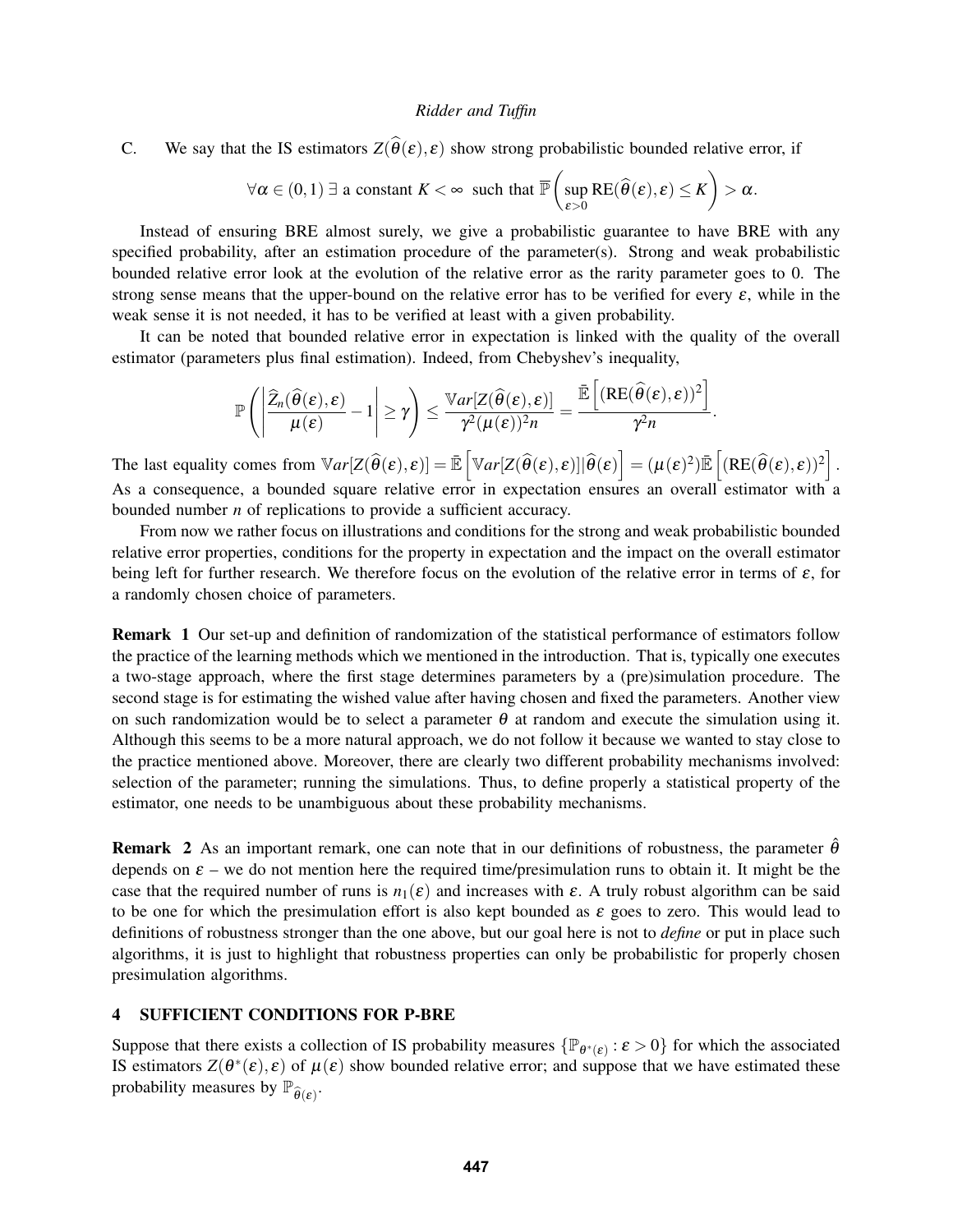C. We say that the IS estimators  $Z(\hat{\theta}(\varepsilon), \varepsilon)$  show strong probabilistic bounded relative error, if

$$
\forall \alpha \in (0,1) \ \exists \ \text{a constant } K < \infty \ \text{such that } \overline{\mathbb{P}}\left(\sup_{\varepsilon > 0} \text{RE}(\widehat{\theta}(\varepsilon), \varepsilon) \leq K\right) > \alpha.
$$

Instead of ensuring BRE almost surely, we give a probabilistic guarantee to have BRE with any specified probability, after an estimation procedure of the parameter(s). Strong and weak probabilistic bounded relative error look at the evolution of the relative error as the rarity parameter goes to 0. The strong sense means that the upper-bound on the relative error has to be verified for every  $\varepsilon$ , while in the weak sense it is not needed, it has to be verified at least with a given probability.

It can be noted that bounded relative error in expectation is linked with the quality of the overall estimator (parameters plus final estimation). Indeed, from Chebyshev's inequality,

$$
\mathbb{P}\left(\left|\frac{\widehat{Z}_n(\widehat{\theta}(\varepsilon),\varepsilon)}{\mu(\varepsilon)}-1\right|\geq \gamma\right)\leq \frac{\mathbb{V}ar[Z(\widehat{\theta}(\varepsilon),\varepsilon)]}{\gamma^2(\mu(\varepsilon))^2n}=\frac{\bar{\mathbb{E}}\left[({\rm RE}(\widehat{\theta}(\varepsilon),\varepsilon))^2\right]}{\gamma^2n}.
$$

The last equality comes from  $\mathbb{V}ar[Z(\widehat{\theta}(\varepsilon), \varepsilon)] = \mathbb{\bar{E}}\left[\mathbb{V}ar[Z(\widehat{\theta}(\varepsilon), \varepsilon)] | \widehat{\theta}(\varepsilon)\right] = (\mu(\varepsilon)^2)\mathbb{\bar{E}}\left[(\text{RE}(\widehat{\theta}(\varepsilon), \varepsilon))^2\right].$ As a consequence, a bounded square relative error in expectation ensures an overall estimator with a bounded number *n* of replications to provide a sufficient accuracy.

From now we rather focus on illustrations and conditions for the strong and weak probabilistic bounded relative error properties, conditions for the property in expectation and the impact on the overall estimator being left for further research. We therefore focus on the evolution of the relative error in terms of  $\varepsilon$ , for a randomly chosen choice of parameters.

Remark 1 Our set-up and definition of randomization of the statistical performance of estimators follow the practice of the learning methods which we mentioned in the introduction. That is, typically one executes a two-stage approach, where the first stage determines parameters by a (pre)simulation procedure. The second stage is for estimating the wished value after having chosen and fixed the parameters. Another view on such randomization would be to select a parameter  $\theta$  at random and execute the simulation using it. Although this seems to be a more natural approach, we do not follow it because we wanted to stay close to the practice mentioned above. Moreover, there are clearly two different probability mechanisms involved: selection of the parameter; running the simulations. Thus, to define properly a statistical property of the estimator, one needs to be unambiguous about these probability mechanisms.

**Remark** 2 As an important remark, one can note that in our definitions of robustness, the parameter  $\hat{\theta}$ depends on  $\varepsilon$  – we do not mention here the required time/presimulation runs to obtain it. It might be the case that the required number of runs is  $n_1(\varepsilon)$  and increases with  $\varepsilon$ . A truly robust algorithm can be said to be one for which the presimulation effort is also kept bounded as  $\varepsilon$  goes to zero. This would lead to definitions of robustness stronger than the one above, but our goal here is not to *define* or put in place such algorithms, it is just to highlight that robustness properties can only be probabilistic for properly chosen presimulation algorithms.

#### 4 SUFFICIENT CONDITIONS FOR P-BRE

Suppose that there exists a collection of IS probability measures  $\{\mathbb{P}_{\theta^*(\varepsilon)} : \varepsilon > 0\}$  for which the associated IS estimators  $Z(\theta^*(\varepsilon), \varepsilon)$  of  $\mu(\varepsilon)$  show bounded relative error; and suppose that we have estimated these probability measures by  $\mathbb{P}_{\hat{\theta}(\varepsilon)}$ .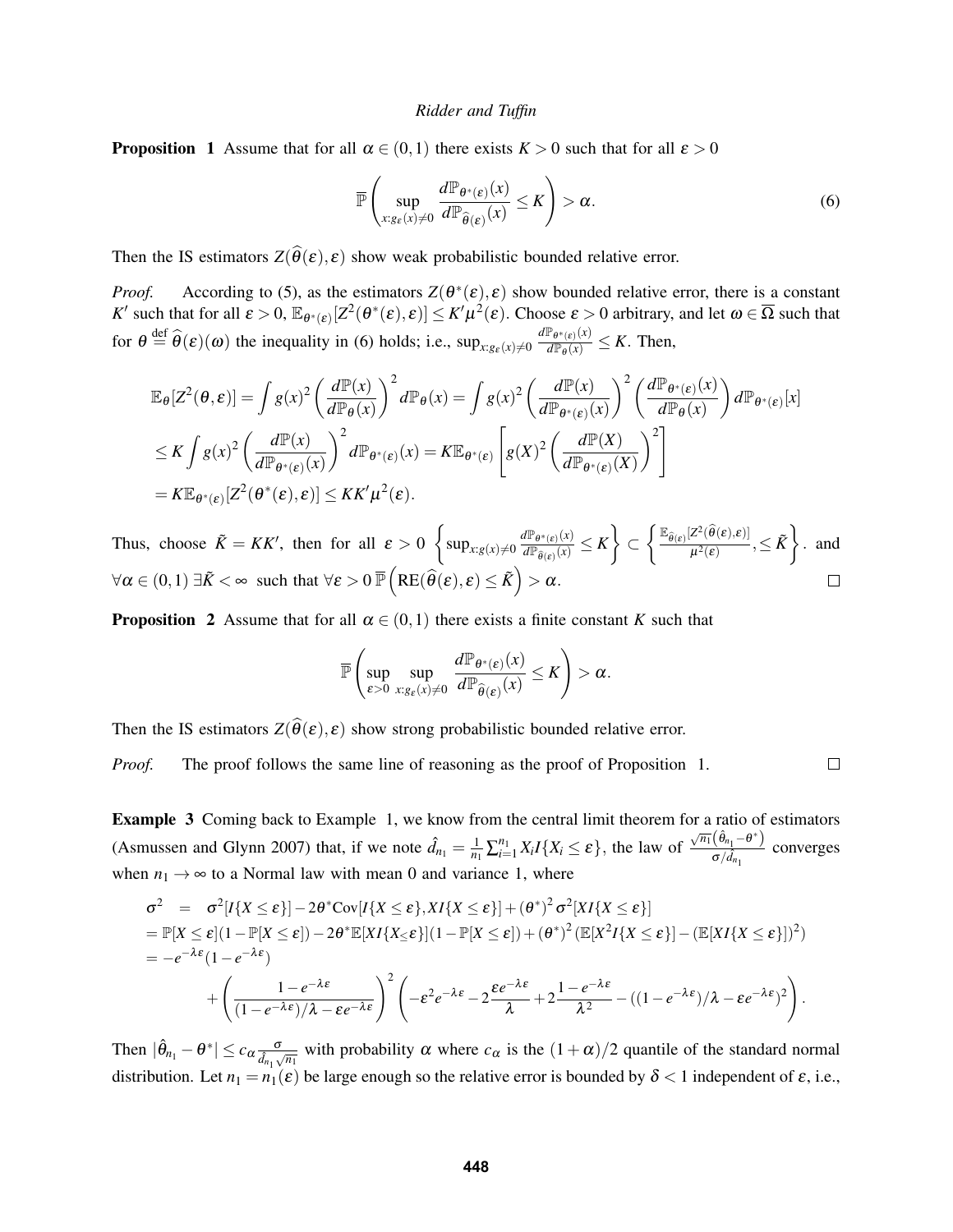**Proposition 1** Assume that for all  $\alpha \in (0,1)$  there exists  $K > 0$  such that for all  $\varepsilon > 0$ 

$$
\overline{\mathbb{P}}\left(\sup_{x:g_{\varepsilon}(x)\neq 0}\frac{d\mathbb{P}_{\theta^*(\varepsilon)}(x)}{d\mathbb{P}_{\widehat{\theta}(\varepsilon)}(x)}\leq K\right)>\alpha.
$$
\n(6)

 $\Box$ 

Then the IS estimators  $Z(\widehat{\theta}(\varepsilon), \varepsilon)$  show weak probabilistic bounded relative error.

*Proof.* According to (5), as the estimators  $Z(\theta^*(\varepsilon), \varepsilon)$  show bounded relative error, there is a constant *K*' such that for all  $\varepsilon > 0$ ,  $\mathbb{E}_{\theta^*(\varepsilon)}[Z^2(\theta^*(\varepsilon), \varepsilon)] \le K' \mu^2(\varepsilon)$ . Choose  $\varepsilon > 0$  arbitrary, and let  $\omega \in \overline{\Omega}$  such that for  $\theta \stackrel{\text{def}}{=} \widehat{\theta}(\varepsilon)(\omega)$  the inequality in (6) holds; i.e.,  $\sup_{x:g_{\varepsilon}(x)\neq 0} \frac{d\mathbb{P}_{\theta^*(\varepsilon)}(x)}{d\mathbb{P}_{\theta}(x)} \leq K$ . Then,

$$
\mathbb{E}_{\theta}[Z^{2}(\theta,\varepsilon)] = \int g(x)^{2} \left(\frac{d\mathbb{P}(x)}{d\mathbb{P}_{\theta}(x)}\right)^{2} d\mathbb{P}_{\theta}(x) = \int g(x)^{2} \left(\frac{d\mathbb{P}(x)}{d\mathbb{P}_{\theta^{*}(\varepsilon)}(x)}\right)^{2} \left(\frac{d\mathbb{P}_{\theta^{*}(\varepsilon)}(x)}{d\mathbb{P}_{\theta}(x)}\right) d\mathbb{P}_{\theta^{*}(\varepsilon)}[x]
$$
\n
$$
\leq K \int g(x)^{2} \left(\frac{d\mathbb{P}(x)}{d\mathbb{P}_{\theta^{*}(\varepsilon)}(x)}\right)^{2} d\mathbb{P}_{\theta^{*}(\varepsilon)}(x) = K \mathbb{E}_{\theta^{*}(\varepsilon)}\left[g(X)^{2} \left(\frac{d\mathbb{P}(X)}{d\mathbb{P}_{\theta^{*}(\varepsilon)}(X)}\right)^{2}\right]
$$
\n
$$
= K \mathbb{E}_{\theta^{*}(\varepsilon)}[Z^{2}(\theta^{*}(\varepsilon), \varepsilon)] \leq KK'\mu^{2}(\varepsilon).
$$

Thus, choose  $\tilde{K} = KK'$ , then for all  $\varepsilon > 0$   $\left\{ \sup_{x:g(x)\neq 0} \frac{d\mathbb{P}_{\theta^*(\varepsilon)}(x)}{d\mathbb{P}_{\theta(x)}(x)} \right\}$  $\frac{d\mathbb{P}_{\theta^*(\varepsilon)}(x)}{d\mathbb{P}_{\hat{\theta}(\varepsilon)}(x)} \leq K$   $\left\{\frac{\mathbb{E}_{\hat{\theta}(\varepsilon)}[Z^2(\hat{\theta}(\varepsilon), \varepsilon)]}{\mu^2(\varepsilon)}\right\}$  $\frac{Z^2(\widehat{\theta}(\varepsilon), \varepsilon)]}{\mu^2(\varepsilon)}, \leq \tilde{K}$ , and  $\forall \alpha \in (0,1) \; \exists \tilde{K} < \infty \; \text{ such that } \forall \varepsilon > 0 \; \overline{\mathbb{P}} \Big( \text{RE}(\widehat{\theta}(\varepsilon), \varepsilon) \leq \tilde{K} \Big) > \alpha.$  $\Box$ 

**Proposition 2** Assume that for all  $\alpha \in (0,1)$  there exists a finite constant *K* such that

$$
\overline{\mathbb{P}}\left(\sup_{\varepsilon>0}\sup_{x:g_{\varepsilon}(x)\neq 0}\frac{d\mathbb{P}_{\theta^*(\varepsilon)}(x)}{d\mathbb{P}_{\widehat{\theta}(\varepsilon)}(x)}\leq K\right)>\alpha.
$$

Then the IS estimators  $Z(\hat{\theta}(\varepsilon), \varepsilon)$  show strong probabilistic bounded relative error.

*Proof.* The proof follows the same line of reasoning as the proof of Proposition 1.

Example 3 Coming back to Example 1, we know from the central limit theorem for a ratio of estimators (Asmussen and Glynn 2007) that, if we note  $\hat{d}_{n_1} = \frac{1}{n_1} \sum_{i=1}^{n_1} X_i I\{X_i \le \varepsilon\}$ , the law of  $\sqrt{n_1}(\hat{\theta}_{n_1}-\theta^*)$  $\frac{(\sigma_{n_1}-\sigma)}{\sigma/\hat{d}_{n_1}}$  converges when  $n_1 \rightarrow \infty$  to a Normal law with mean 0 and variance 1, where

$$
\sigma^2 = \sigma^2[I\{X \leq \varepsilon\}] - 2\theta^* \text{Cov}[I\{X \leq \varepsilon\}, XI\{X \leq \varepsilon\}] + (\theta^*)^2 \sigma^2[XI\{X \leq \varepsilon\}]
$$
  
\n
$$
= \mathbb{P}[X \leq \varepsilon](1 - \mathbb{P}[X \leq \varepsilon]) - 2\theta^* \mathbb{E}[XI\{X \leq \varepsilon\}] (1 - \mathbb{P}[X \leq \varepsilon]) + (\theta^*)^2 (\mathbb{E}[X^2 I\{X \leq \varepsilon\}] - (\mathbb{E}[XI\{X \leq \varepsilon\}])^2)
$$
  
\n
$$
= -e^{-\lambda \varepsilon}(1 - e^{-\lambda \varepsilon})
$$
  
\n
$$
+ \left(\frac{1 - e^{-\lambda \varepsilon}}{(1 - e^{-\lambda \varepsilon})/\lambda - \varepsilon e^{-\lambda \varepsilon}}\right)^2 \left(-\varepsilon^2 e^{-\lambda \varepsilon} - 2\frac{\varepsilon e^{-\lambda \varepsilon}}{\lambda} + 2\frac{1 - e^{-\lambda \varepsilon}}{\lambda^2} - ((1 - e^{-\lambda \varepsilon})/\lambda - \varepsilon e^{-\lambda \varepsilon})^2\right).
$$

Then  $|\hat{\theta}_{n_1} - \theta^*| \leq c_{\alpha} \frac{\sigma}{\hat{d}_{n_1} \sqrt{n_2}}$  $\frac{\sigma}{\sqrt{n_1}}$  with probability α where  $c_\alpha$  is the  $(1+\alpha)/2$  quantile of the standard normal distribution. Let  $n_1 = n_1(\varepsilon)$  be large enough so the relative error is bounded by  $\delta < 1$  independent of  $\varepsilon$ , i.e.,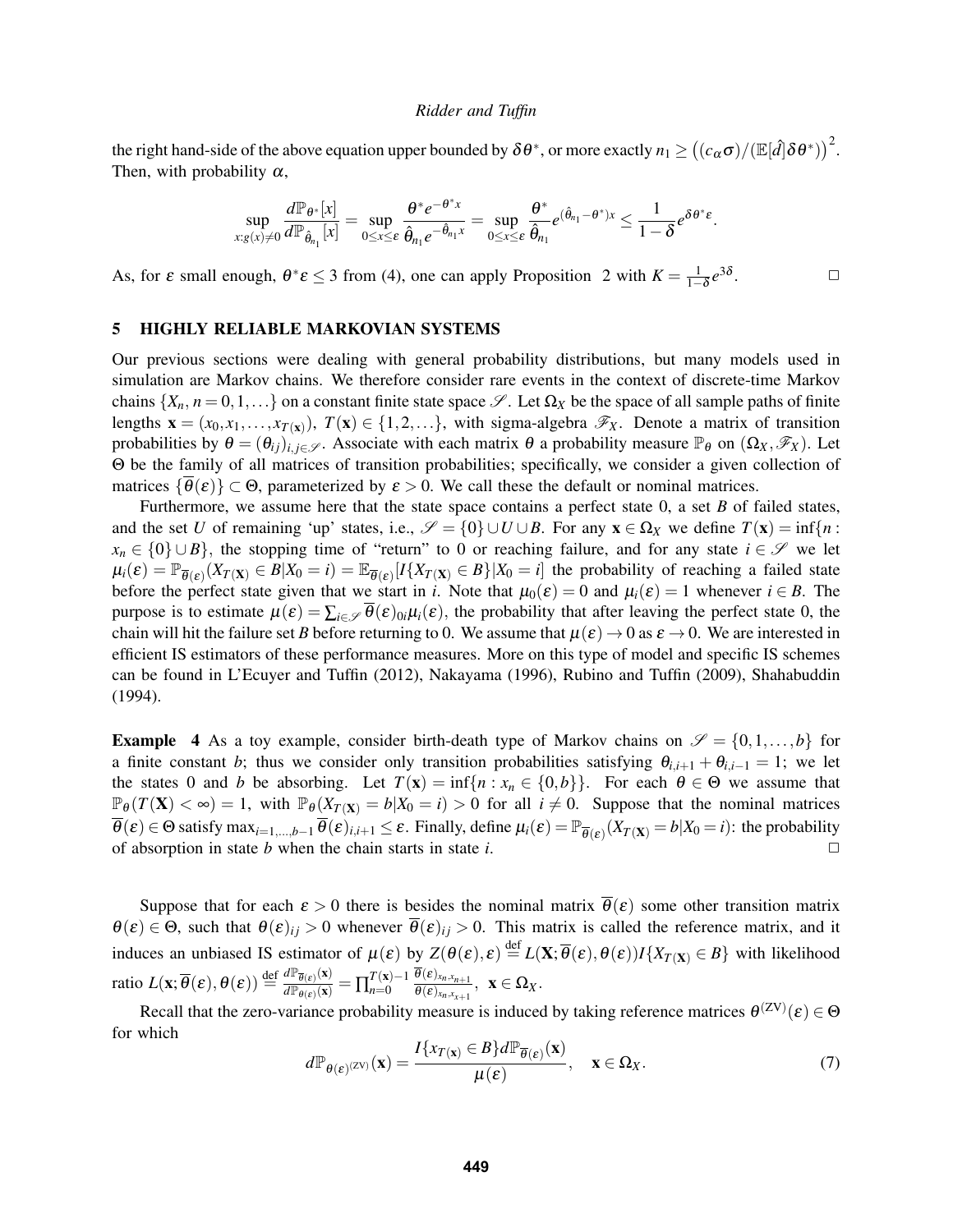the right hand-side of the above equation upper bounded by  $\delta\theta^*$ , or more exactly  $n_1 \geq ((c_{\alpha}\sigma)/(\mathbb{E}[\hat{d}]\delta\theta^*))^2$ . Then, with probability  $\alpha$ ,

$$
\sup_{x:g(x)\neq 0}\frac{d\mathbb{P}_{\theta^*}[x]}{d\mathbb{P}_{\hat{\theta}_{n_1}}[x]}=\sup_{0\leq x\leq \varepsilon}\frac{\theta^*e^{-\theta^*x}}{\hat{\theta}_{n_1}e^{-\hat{\theta}_{n_1}x}}=\sup_{0\leq x\leq \varepsilon}\frac{\theta^*}{\hat{\theta}_{n_1}}e^{(\hat{\theta}_{n_1}-\theta^*)x}\leq \frac{1}{1-\delta}e^{\delta\theta^*\varepsilon}.
$$

As, for  $\varepsilon$  small enough,  $\theta^* \varepsilon \leq 3$  from (4), one can apply Proposition 2 with  $K = \frac{1}{1-\delta}e^{3\delta}$ .  $\Box$ 

#### 5 HIGHLY RELIABLE MARKOVIAN SYSTEMS

Our previous sections were dealing with general probability distributions, but many models used in simulation are Markov chains. We therefore consider rare events in the context of discrete-time Markov chains  $\{X_n, n = 0, 1, ...\}$  on a constant finite state space  $\mathscr{S}$ . Let  $\Omega_X$  be the space of all sample paths of finite lengths  $\mathbf{x} = (x_0, x_1, \dots, x_{T(\mathbf{x})})$ ,  $T(\mathbf{x}) \in \{1, 2, \dots\}$ , with sigma-algebra  $\mathscr{F}_X$ . Denote a matrix of transition probabilities by  $\theta = (\theta_{ij})_{i,j \in \mathcal{S}}$ . Associate with each matrix  $\theta$  a probability measure  $\mathbb{P}_{\theta}$  on  $(\Omega_X, \mathcal{F}_X)$ . Let Θ be the family of all matrices of transition probabilities; specifically, we consider a given collection of matrices  $\{\overline{\theta}(\varepsilon)\}\subset\Theta$ , parameterized by  $\varepsilon>0$ . We call these the default or nominal matrices.

Furthermore, we assume here that the state space contains a perfect state 0, a set *B* of failed states, and the set *U* of remaining 'up' states, i.e.,  $\mathscr{S} = \{0\} \cup U \cup B$ . For any  $\mathbf{x} \in \Omega_{X}$  we define  $T(\mathbf{x}) = \inf\{n :$  $x_n \in \{0\} \cup B$ , the stopping time of "return" to 0 or reaching failure, and for any state  $i \in \mathcal{S}$  we let  $\mu_i(\varepsilon) = \mathbb{P}_{\overline{\theta}(\varepsilon)}(X_{T(\mathbf{X})} \in B | X_0 = i) = \mathbb{E}_{\overline{\theta}(\varepsilon)}[I\{X_{T(\mathbf{X})} \in B\} | X_0 = i]$  the probability of reaching a failed state before the perfect state given that we start in *i*. Note that  $\mu_0(\varepsilon) = 0$  and  $\mu_i(\varepsilon) = 1$  whenever  $i \in B$ . The purpose is to estimate  $\mu(\varepsilon) = \sum_{i \in \mathcal{S}} \theta(\varepsilon)_{0i} \mu_i(\varepsilon)$ , the probability that after leaving the perfect state 0, the chain will hit the failure set *B* before returning to 0. We assume that  $\mu(\varepsilon) \to 0$  as  $\varepsilon \to 0$ . We are interested in efficient IS estimators of these performance measures. More on this type of model and specific IS schemes can be found in L'Ecuyer and Tuffin (2012), Nakayama (1996), Rubino and Tuffin (2009), Shahabuddin (1994).

**Example** 4 As a toy example, consider birth-death type of Markov chains on  $\mathcal{S} = \{0,1,\ldots,b\}$  for a finite constant *b*; thus we consider only transition probabilities satisfying  $\theta_{i,i+1} + \theta_{i,i-1} = 1$ ; we let the states 0 and *b* be absorbing. Let  $T(\mathbf{x}) = \inf\{n : x_n \in \{0, b\}\}\.$  For each  $\theta \in \Theta$  we assume that  $\mathbb{P}_{\theta}(T(\mathbf{X}) < \infty) = 1$ , with  $\mathbb{P}_{\theta}(X_{T(\mathbf{X})} = b | X_0 = i) > 0$  for all  $i \neq 0$ . Suppose that the nominal matrices  $\overline{\theta}(\varepsilon) \in \Theta$  satisfy max<sub>*i*=1,...,*b*−1</sub>  $\overline{\theta}(\varepsilon)$ ,*i*,*i*+1</sub>  $\leq \varepsilon$ . Finally, define  $\mu_i(\varepsilon) = \mathbb{P}_{\overline{\theta}(\varepsilon)}(X_{T(\mathbf{X})} = b | X_0 = i)$ : the probability of absorption in state *b* when the chain starts in state *i*.  $\square$ 

Suppose that for each  $\varepsilon > 0$  there is besides the nominal matrix  $\overline{\theta}(\varepsilon)$  some other transition matrix  $\theta(\varepsilon) \in \Theta$ , such that  $\theta(\varepsilon)_{ij} > 0$  whenever  $\overline{\theta}(\varepsilon)_{ij} > 0$ . This matrix is called the reference matrix, and it induces an unbiased IS estimator of  $\mu(\varepsilon)$  by  $Z(\theta(\varepsilon), \varepsilon) \stackrel{\text{def}}{=} L(\mathbf{X}; \overline{\theta}(\varepsilon), \theta(\varepsilon)) I\{X_{T(\mathbf{X})} \in B\}$  with likelihood ratio  $L(\mathbf{x}; \overline{\theta}(\varepsilon), \theta(\varepsilon)) \stackrel{\text{def}}{=} \frac{d\mathbb{P}_{\overline{\theta}(\varepsilon)}(\mathbf{x})}{d\mathbb{P}_{\theta(\varepsilon)}(\mathbf{x})}$  $\frac{d\mathbb{P}_{\overline{\boldsymbol{\theta}}(\boldsymbol{\varepsilon})}(\mathbf{x})}{d\mathbb{P}_{\boldsymbol{\theta}(\boldsymbol{\varepsilon})}(\mathbf{x})} = \prod_{n=0}^{T(\mathbf{x})-1}$  $T(\mathbf{x})-1$   $\overline{\theta}(\varepsilon)_{x_n,x_{n+1}}$ <br>*n*=0  $\overline{\theta(\varepsilon)_{x_n,x_{n+1}}}$  $\frac{\partial^2 (c) x_n x_{n+1}}{\partial ( \varepsilon)_{x_n,x_{x+1}}}, \ \ \mathbf{x} \in \Omega_X.$ 

Recall that the zero-variance probability measure is induced by taking reference matrices  $\theta^{(ZV)}(\varepsilon) \in \Theta$ for which

$$
d\mathbb{P}_{\theta(\varepsilon)^{(ZV)}}(\mathbf{x}) = \frac{I\{x_{T(\mathbf{x})} \in B\} d\mathbb{P}_{\overline{\theta}(\varepsilon)}(\mathbf{x})}{\mu(\varepsilon)}, \quad \mathbf{x} \in \Omega_X.
$$
 (7)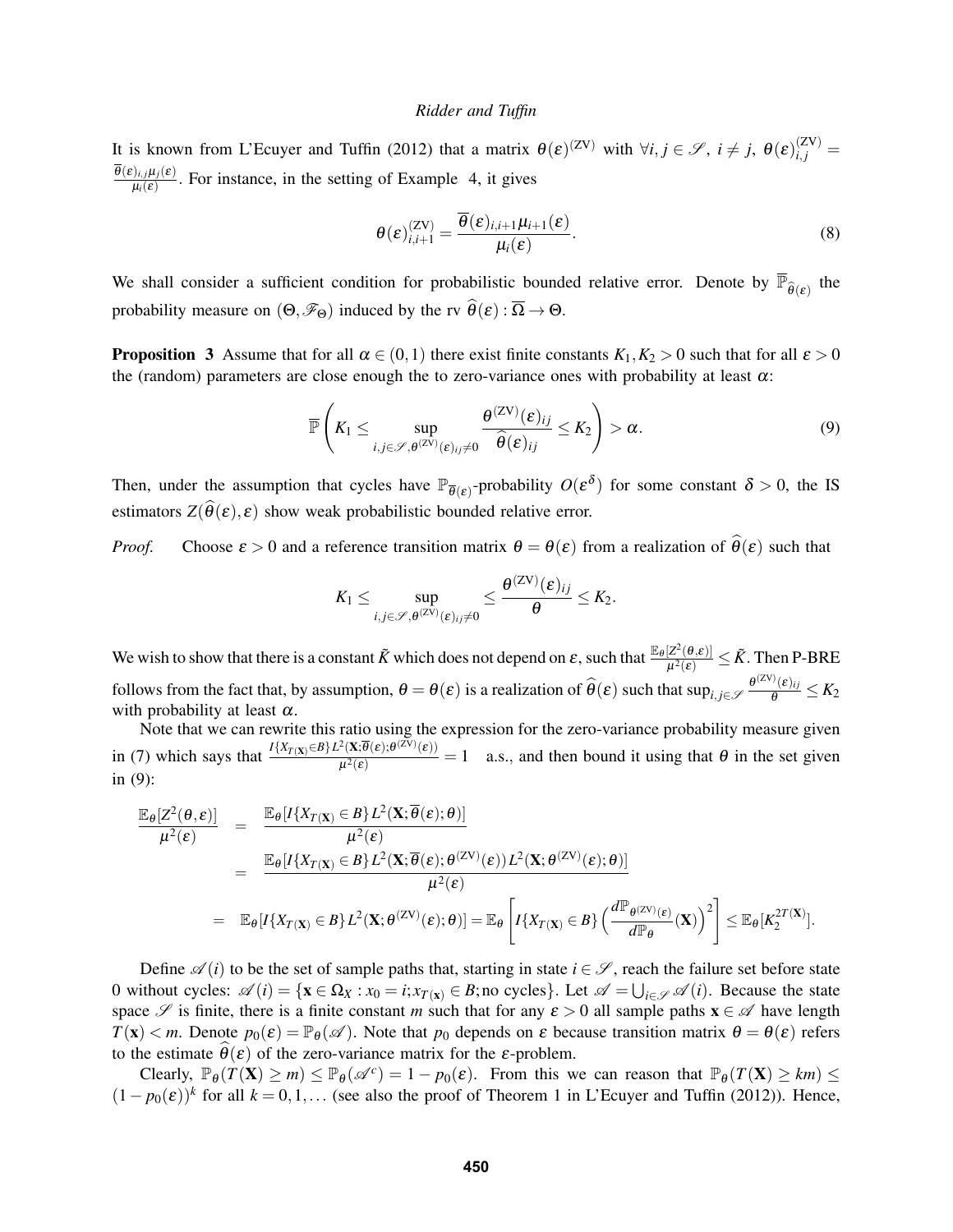It is known from L'Ecuyer and Tuffin (2012) that a matrix  $\theta(\varepsilon)^{(ZV)}$  with  $\forall i, j \in \mathscr{S}, i \neq j$ ,  $\theta(\varepsilon)_{i,j}^{(ZV)} =$  $\overline{\theta}(\varepsilon)_{i,j}\mu_j(\varepsilon)$  $\mu_i(\varepsilon)$ . For instance, in the setting of Example 4, it gives

$$
\theta(\varepsilon)_{i,i+1}^{(\text{ZV})} = \frac{\overline{\theta}(\varepsilon)_{i,i+1} \mu_{i+1}(\varepsilon)}{\mu_i(\varepsilon)}.
$$
\n(8)

We shall consider a sufficient condition for probabilistic bounded relative error. Denote by  $\overline{\mathbb{P}}_{\hat{\theta}(\varepsilon)}$  the probability measure on  $(\Theta, \mathscr{F}_{\Theta})$  induced by the rv  $\widehat{\theta}(\varepsilon) : \overline{\Omega} \to \Theta$ .

**Proposition 3** Assume that for all  $\alpha \in (0,1)$  there exist finite constants  $K_1, K_2 > 0$  such that for all  $\varepsilon > 0$ the (random) parameters are close enough the to zero-variance ones with probability at least  $\alpha$ :

$$
\overline{\mathbb{P}}\left(K_1 \leq \sup_{i,j \in \mathscr{S}, \theta^{(\mathrm{ZV})}(\varepsilon)_{ij} \neq 0} \frac{\theta^{(\mathrm{ZV})}(\varepsilon)_{ij}}{\widehat{\theta}(\varepsilon)_{ij}} \leq K_2\right) > \alpha.
$$
\n(9)

Then, under the assumption that cycles have  $\mathbb{P}_{\overline{\theta}(\varepsilon)}$ -probability  $O(\varepsilon^{\delta})$  for some constant  $\delta > 0$ , the IS estimators  $Z(\widehat{\theta}(\varepsilon), \varepsilon)$  show weak probabilistic bounded relative error.

*Proof.* Choose  $\varepsilon > 0$  and a reference transition matrix  $\theta = \theta(\varepsilon)$  from a realization of  $\hat{\theta}(\varepsilon)$  such that

$$
K_1 \leq \sup_{i,j \in \mathscr{S}, \theta^{(ZV)}(\varepsilon)_{ij} \neq 0} \leq \frac{\theta^{(ZV)}(\varepsilon)_{ij}}{\theta} \leq K_2.
$$

We wish to show that there is a constant  $\tilde{K}$  which does not depend on  $\varepsilon$ , such that  $\frac{\mathbb{E}_{\theta}[Z^2(\theta,\varepsilon)]}{u^2(\varepsilon)}$  $\frac{[Z^2(\theta,\varepsilon)]}{\mu^2(\varepsilon)} \leq \tilde{K}$ . Then P-BRE follows from the fact that, by assumption,  $\theta = \theta(\varepsilon)$  is a realization of  $\widehat{\theta}(\varepsilon)$  such that  $\sup_{i,j \in \mathcal{S}} \frac{\theta^{(ZV)}(\varepsilon)_{ij}}{\theta} \le K_2$ with probability at least  $\alpha$ .

Note that we can rewrite this ratio using the expression for the zero-variance probability measure given in (7) which says that  $\frac{I\{X_T(\mathbf{x})\in B\}L^2(\mathbf{X};\overline{\theta}(\varepsilon);\theta^{(ZV)}(\varepsilon))}{\mu^2(\varepsilon)}$  $\frac{(\mathbf{A}, \mathbf{b}, \mathbf{c}), \mathbf{b}, \cdots, (\mathbf{c})}{\mu^2(\varepsilon)} = 1$  a.s., and then bound it using that  $\theta$  in the set given in (9):

$$
\frac{\mathbb{E}_{\theta}[Z^{2}(\theta,\varepsilon)]}{\mu^{2}(\varepsilon)} = \frac{\mathbb{E}_{\theta}[I\{X_{T(\mathbf{X})} \in B\} L^{2}(\mathbf{X};\overline{\theta}(\varepsilon);\theta)]}{\mu^{2}(\varepsilon)}
$$
\n
$$
= \frac{\mathbb{E}_{\theta}[I\{X_{T(\mathbf{X})} \in B\} L^{2}(\mathbf{X};\overline{\theta}(\varepsilon);\theta^{(ZV)}(\varepsilon)) L^{2}(\mathbf{X};\theta^{(ZV)}(\varepsilon);\theta)]}{\mu^{2}(\varepsilon)}
$$
\n
$$
= \mathbb{E}_{\theta}[I\{X_{T(\mathbf{X})} \in B\} L^{2}(\mathbf{X};\theta^{(ZV)}(\varepsilon);\theta)] = \mathbb{E}_{\theta}\left[I\{X_{T(\mathbf{X})} \in B\} \left(\frac{d\mathbb{P}_{\theta^{(ZV)}(\varepsilon)}}{d\mathbb{P}_{\theta}}(\mathbf{X})\right)^{2}\right] \leq \mathbb{E}_{\theta}[K_{2}^{2T(\mathbf{X})}].
$$

Define  $\mathscr{A}(i)$  to be the set of sample paths that, starting in state  $i \in \mathscr{S}$ , reach the failure set before state 0 without cycles:  $\mathscr{A}(i) = \{ \mathbf{x} \in \Omega_X : x_0 = i; x_{\mathcal{T}(\mathbf{x})} \in \mathcal{B}$ ; no cycles}. Let  $\mathscr{A} = \bigcup_{i \in \mathscr{S}} \mathscr{A}(i)$ . Because the state space  $\mathscr S$  is finite, there is a finite constant *m* such that for any  $\varepsilon > 0$  all sample paths  $x \in \mathscr A$  have length  $T(\mathbf{x}) < m$ . Denote  $p_0(\varepsilon) = \mathbb{P}_{\theta}(\mathscr{A})$ . Note that  $p_0$  depends on  $\varepsilon$  because transition matrix  $\theta = \theta(\varepsilon)$  refers to the estimate  $\hat{\theta}(\varepsilon)$  of the zero-variance matrix for the  $\varepsilon$ -problem.

Clearly,  $\mathbb{P}_{\theta}(T(\mathbf{X}) \ge m) \le \mathbb{P}_{\theta}(\mathscr{A}^c) = 1 - p_0(\varepsilon)$ . From this we can reason that  $\mathbb{P}_{\theta}(T(\mathbf{X}) \ge km) \le$  $(1-p_0(\varepsilon))^k$  for all  $k = 0, 1, \ldots$  (see also the proof of Theorem 1 in L'Ecuyer and Tuffin (2012)). Hence,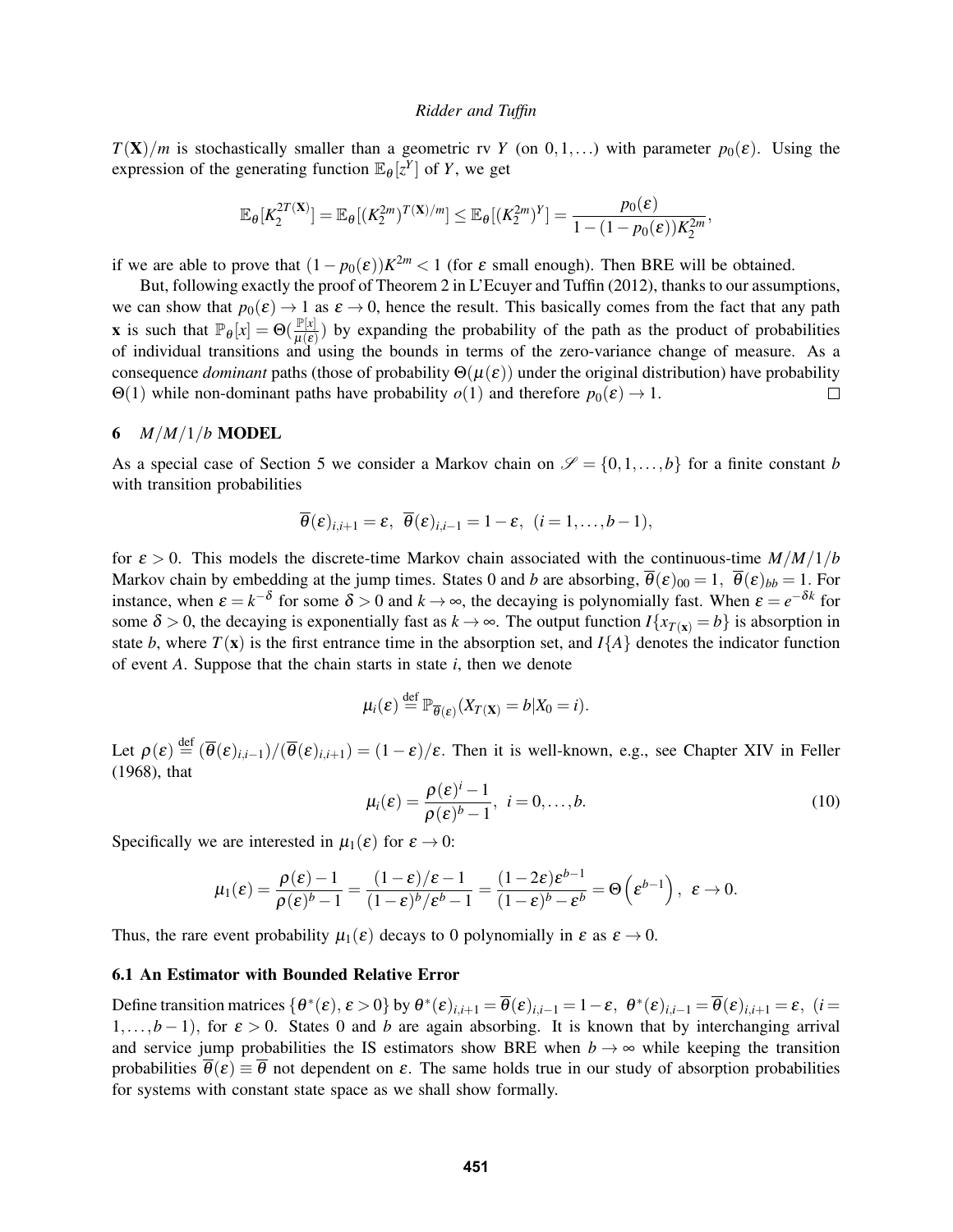$T(\mathbf{X})/m$  is stochastically smaller than a geometric rv *Y* (on 0,1,...) with parameter  $p_0(\varepsilon)$ . Using the expression of the generating function  $\mathbb{E}_{\theta}[z^Y]$  of *Y*, we get

$$
\mathbb{E}_{\theta}[K_2^{2T(\mathbf{X})}]=\mathbb{E}_{\theta}[(K_2^{2m})^{T(\mathbf{X})/m}]\leq \mathbb{E}_{\theta}[(K_2^{2m})^Y]=\frac{p_0(\varepsilon)}{1-(1-p_0(\varepsilon))K_2^{2m}},
$$

if we are able to prove that  $(1 - p_0(\varepsilon))K^{2m} < 1$  (for  $\varepsilon$  small enough). Then BRE will be obtained.

But, following exactly the proof of Theorem 2 in L'Ecuyer and Tuffin (2012), thanks to our assumptions, we can show that  $p_0(\varepsilon) \to 1$  as  $\varepsilon \to 0$ , hence the result. This basically comes from the fact that any path **x** is such that  $\mathbb{P}_{\theta}[x] = \Theta(\frac{\mathbb{P}[x]}{\mu(\varepsilon)}$  $\frac{\mathbb{P}[X]}{\mu(\varepsilon)}$  by expanding the probability of the path as the product of probabilities of individual transitions and using the bounds in terms of the zero-variance change of measure. As a consequence *dominant* paths (those of probability  $\Theta(\mu(\varepsilon))$  under the original distribution) have probability Θ(1) while non-dominant paths have probability *o*(1) and therefore  $p_0(\varepsilon)$  → 1.  $\Box$ 

#### 6 *M*/*M*/1/*b* MODEL

As a special case of Section 5 we consider a Markov chain on  $\mathscr{S} = \{0,1,\ldots,b\}$  for a finite constant *b* with transition probabilities

$$
\overline{\theta}(\varepsilon)_{i,i+1}=\varepsilon,\ \overline{\theta}(\varepsilon)_{i,i-1}=1-\varepsilon,\ \ (i=1,\ldots,b-1),
$$

for  $\varepsilon > 0$ . This models the discrete-time Markov chain associated with the continuous-time  $M/M/1/b$ Markov chain by embedding at the jump times. States 0 and *b* are absorbing,  $\overline{\theta}(\varepsilon)_{00} = 1$ ,  $\overline{\theta}(\varepsilon)_{bb} = 1$ . For instance, when  $\varepsilon = k^{-\delta}$  for some  $\delta > 0$  and  $k \to \infty$ , the decaying is polynomially fast. When  $\varepsilon = e^{-\delta k}$  for some  $\delta > 0$ , the decaying is exponentially fast as  $k \to \infty$ . The output function  $I\{x_{T(x)} = b\}$  is absorption in state *b*, where  $T(\mathbf{x})$  is the first entrance time in the absorption set, and  $I{A}$  denotes the indicator function of event *A*. Suppose that the chain starts in state *i*, then we denote

$$
\mu_i(\varepsilon) \stackrel{\text{def}}{=} \mathbb{P}_{\overline{\theta}(\varepsilon)}(X_{T(\mathbf{X})} = b | X_0 = i).
$$

Let  $\rho(\varepsilon) \stackrel{\text{def}}{=} (\overline{\theta}(\varepsilon)_{i,i-1})/(\overline{\theta}(\varepsilon)_{i,i+1}) = (1-\varepsilon)/\varepsilon$ . Then it is well-known, e.g., see Chapter XIV in Feller (1968), that

$$
\mu_i(\varepsilon) = \frac{\rho(\varepsilon)^i - 1}{\rho(\varepsilon)^b - 1}, \ i = 0, \dots, b.
$$
\n(10)

Specifically we are interested in  $\mu_1(\varepsilon)$  for  $\varepsilon \to 0$ :

$$
\mu_1(\varepsilon) = \frac{\rho(\varepsilon)-1}{\rho(\varepsilon)^b-1} = \frac{(1-\varepsilon)/\varepsilon-1}{(1-\varepsilon)^b/\varepsilon^b-1} = \frac{(1-2\varepsilon)\varepsilon^{b-1}}{(1-\varepsilon)^b-\varepsilon^b} = \Theta\left(\varepsilon^{b-1}\right), \ \varepsilon \to 0.
$$

Thus, the rare event probability  $\mu_1(\varepsilon)$  decays to 0 polynomially in  $\varepsilon$  as  $\varepsilon \to 0$ .

#### 6.1 An Estimator with Bounded Relative Error

Define transition matrices  $\{\theta^*(\varepsilon), \varepsilon > 0\}$  by  $\theta^*(\varepsilon)_{i,i+1} = \overline{\theta}(\varepsilon)_{i,i-1} = 1 - \varepsilon$ ,  $\theta^*(\varepsilon)_{i,i-1} = \overline{\theta}(\varepsilon)_{i,i+1} = \varepsilon$ ,  $(i = 1, 2, \dots, n)$  $1, \ldots, b-1$ ), for  $\varepsilon > 0$ . States 0 and *b* are again absorbing. It is known that by interchanging arrival and service jump probabilities the IS estimators show BRE when  $b \rightarrow \infty$  while keeping the transition probabilities  $\overline{\theta}(\varepsilon) \equiv \overline{\theta}$  not dependent on  $\varepsilon$ . The same holds true in our study of absorption probabilities for systems with constant state space as we shall show formally.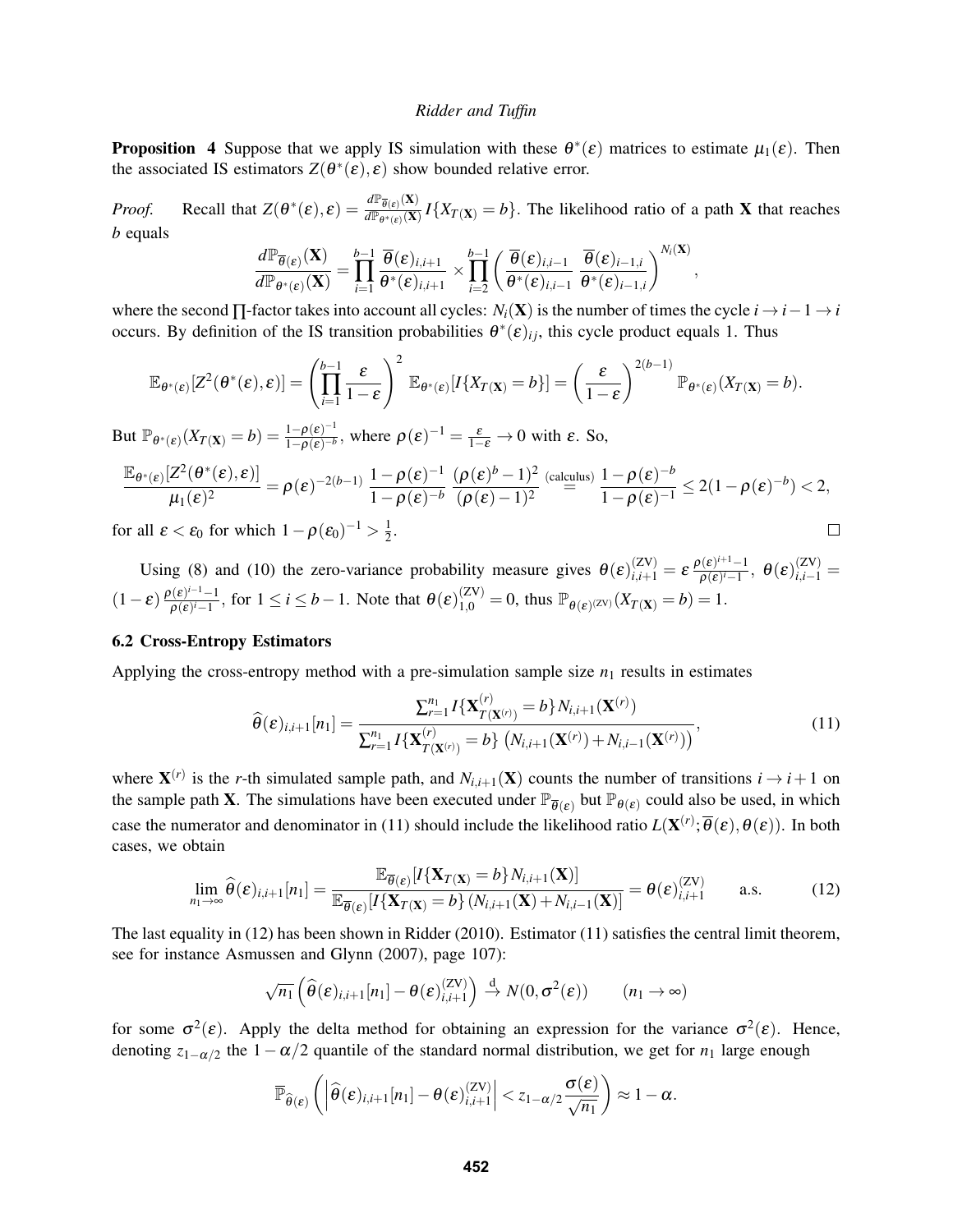**Proposition** 4 Suppose that we apply IS simulation with these  $\theta^*(\varepsilon)$  matrices to estimate  $\mu_1(\varepsilon)$ . Then the associated IS estimators  $Z(\theta^*(\varepsilon), \varepsilon)$  show bounded relative error.

*Proof.* Recall that  $Z(\theta^*(\varepsilon), \varepsilon) = \frac{d\mathbb{P}_{\overline{\theta}(\varepsilon)}(\mathbf{X})}{d\mathbb{P}_{\theta^*(\varepsilon)}(\mathbf{X})}$  $\frac{dP}{dP_{\theta^*(\varepsilon)}(X)} I\{X_{T(X)} = b\}$ . The likelihood ratio of a path **X** that reaches *b* equals

$$
\frac{d\mathbb{P}_{\overline{\theta}(\varepsilon)}(\mathbf{X})}{d\mathbb{P}_{\theta^*(\varepsilon)}(\mathbf{X})} = \prod_{i=1}^{b-1} \frac{\overline{\theta}(\varepsilon)_{i,i+1}}{\theta^*(\varepsilon)_{i,i+1}} \times \prod_{i=2}^{b-1} \left(\frac{\overline{\theta}(\varepsilon)_{i,i-1}}{\theta^*(\varepsilon)_{i,i-1}} \frac{\overline{\theta}(\varepsilon)_{i-1,i}}{\theta^*(\varepsilon)_{i-1,i}}\right)^{N_i(\mathbf{X})},
$$

where the second  $\Pi$ -factor takes into account all cycles:  $N_i(\mathbf{X})$  is the number of times the cycle  $i \to i-1 \to i$ occurs. By definition of the IS transition probabilities  $\theta^*(\varepsilon)_{ij}$ , this cycle product equals 1. Thus

$$
\mathbb{E}_{\theta^*(\varepsilon)}[Z^2(\theta^*(\varepsilon),\varepsilon)] = \left(\prod_{i=1}^{b-1} \frac{\varepsilon}{1-\varepsilon}\right)^2 \mathbb{E}_{\theta^*(\varepsilon)}[I\{X_{T(X)} = b\}] = \left(\frac{\varepsilon}{1-\varepsilon}\right)^{2(b-1)} \mathbb{P}_{\theta^*(\varepsilon)}(X_{T(X)} = b).
$$

But  $\mathbb{P}_{\theta^*(\varepsilon)}(X_{T(\mathbf{X})}=b) = \frac{1-\rho(\varepsilon)^{-1}}{1-\rho(\varepsilon)^{-b}}$  $\frac{1-\rho(\varepsilon)^{-1}}{1-\rho(\varepsilon)^{-b}}$ , where  $\rho(\varepsilon)^{-1} = \frac{\varepsilon}{1-\varepsilon} \to 0$  with  $\varepsilon$ . So,

$$
\frac{\mathbb{E}_{\theta^*(\varepsilon)}[Z^2(\theta^*(\varepsilon), \varepsilon)]}{\mu_1(\varepsilon)^2} = \rho(\varepsilon)^{-2(b-1)} \frac{1 - \rho(\varepsilon)^{-1}}{1 - \rho(\varepsilon)^{-b}} \frac{(\rho(\varepsilon)^b - 1)^2}{(\rho(\varepsilon) - 1)^2} \stackrel{\text{(calculus)}}{=} \frac{1 - \rho(\varepsilon)^{-b}}{1 - \rho(\varepsilon)^{-1}} \le 2(1 - \rho(\varepsilon)^{-b}) < 2,
$$
\nor all  $\varepsilon < \varepsilon_0$  for which  $1 - \rho(\varepsilon_0)^{-1} > \frac{1}{2}$ .

for all  $\varepsilon < \varepsilon_0$  for which  $1 - \rho(\varepsilon_0)^{-1} > \frac{1}{2}$  $\frac{1}{2}$ .

Using (8) and (10) the zero-variance probability measure gives  $\theta(\varepsilon)_{i,i+1}^{(ZV)} = \varepsilon \frac{\rho(\varepsilon)^{i+1}-1}{\rho(\varepsilon)^{i-1}}$  $\frac{\rho(\boldsymbol{\varepsilon})^{i+1}-1}{\rho(\boldsymbol{\varepsilon})^i-1}, \,\, \boldsymbol{\theta}(\boldsymbol{\varepsilon})^{(\text{ZV})}_{i,i-1} = 0$  $(1-\varepsilon)\frac{\rho(\varepsilon)^{i-1}-1}{\rho(\varepsilon)^{i-1}}$  $\frac{\rho(\varepsilon)^{i-1}-1}{\rho(\varepsilon)^{i-1}}$ , for  $1 \le i \le b-1$ . Note that  $\theta(\varepsilon)_{1,0}^{(ZV)} = 0$ , thus  $\mathbb{P}_{\theta(\varepsilon)^{(ZV)}}(X_{T(X)} = b) = 1$ .

#### 6.2 Cross-Entropy Estimators

Applying the cross-entropy method with a pre-simulation sample size  $n_1$  results in estimates

$$
\widehat{\theta}(\varepsilon)_{i,i+1}[n_1] = \frac{\sum_{r=1}^{n_1} I\{\mathbf{X}_{T(\mathbf{X}^{(r)})}^{(r)} = b\} N_{i,i+1}(\mathbf{X}^{(r)})}{\sum_{r=1}^{n_1} I\{\mathbf{X}_{T(\mathbf{X}^{(r)})}^{(r)} = b\} \left(N_{i,i+1}(\mathbf{X}^{(r)}) + N_{i,i-1}(\mathbf{X}^{(r)})\right)},
$$
\n(11)

where  $X^{(r)}$  is the *r*-th simulated sample path, and  $N_{i,i+1}(X)$  counts the number of transitions  $i \to i+1$  on the sample path **X**. The simulations have been executed under  $\mathbb{P}_{\overline{\theta}(\varepsilon)}$  but  $\mathbb{P}_{\theta(\varepsilon)}$  could also be used, in which case the numerator and denominator in (11) should include the likelihood ratio  $L(X^{(r)}; \overline{\theta}( \epsilon), \theta( \epsilon))$ . In both cases, we obtain

$$
\lim_{n_1 \to \infty} \widehat{\theta}(\varepsilon)_{i,i+1}[n_1] = \frac{\mathbb{E}_{\overline{\theta}(\varepsilon)}[I\{\mathbf{X}_T(\mathbf{x}) = b\} N_{i,i+1}(\mathbf{X})]}{\mathbb{E}_{\overline{\theta}(\varepsilon)}[I\{\mathbf{X}_T(\mathbf{x}) = b\} (N_{i,i+1}(\mathbf{X}) + N_{i,i-1}(\mathbf{X})] } = \theta(\varepsilon)_{i,i+1}^{(\mathbf{ZV})} \quad \text{a.s.}
$$
\n(12)

The last equality in (12) has been shown in Ridder (2010). Estimator (11) satisfies the central limit theorem, see for instance Asmussen and Glynn (2007), page 107):

$$
\sqrt{n_1} \left( \widehat{\boldsymbol{\theta}}(\boldsymbol{\varepsilon})_{i,i+1}[n_1] - \boldsymbol{\theta}(\boldsymbol{\varepsilon})_{i,i+1}^{(\text{ZV})} \right) \stackrel{d}{\rightarrow} N(0, \sigma^2(\boldsymbol{\varepsilon})) \qquad (n_1 \to \infty)
$$

for some  $\sigma^2(\varepsilon)$ . Apply the delta method for obtaining an expression for the variance  $\sigma^2(\varepsilon)$ . Hence, denoting  $z_{1-\alpha/2}$  the  $1-\alpha/2$  quantile of the standard normal distribution, we get for  $n_1$  large enough

$$
\overline{\mathbb{P}}_{\widehat{\theta}(\varepsilon)}\left(\left|\widehat{\theta}(\varepsilon)_{i,i+1}[n_1]-\theta(\varepsilon)_{i,i+1}^{(\text{ZV})}\right|
$$